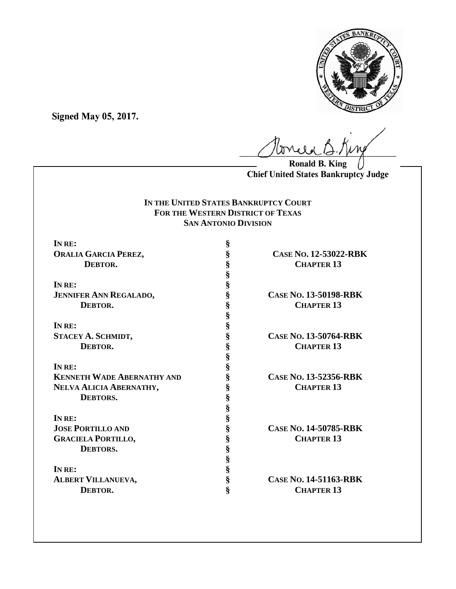

**Signed May 05, 2017.**

 $\ell$ 

**Ronald B. King Chief United States Bankruptcy Judge**

# **IN THE UNITED STATES BANKRUPTCY COURT FOR THE WESTERN DISTRICT OF TEXAS SAN ANTONIO DIVISION**

| IN RE:                            | §                     |                              |
|-----------------------------------|-----------------------|------------------------------|
| <b>ORALIA GARCIA PEREZ,</b>       | §                     | CASE No. 12-53022-RBK        |
| DEBTOR.                           |                       | <b>CHAPTER 13</b>            |
|                                   | SS SS SS<br>SS        |                              |
| IN RE:                            |                       |                              |
| <b>JENNIFER ANN REGALADO,</b>     |                       | <b>CASE NO. 13-50198-RBK</b> |
| DEBTOR.                           |                       | <b>CHAPTER 13</b>            |
|                                   |                       |                              |
| IN RE:                            |                       |                              |
| STACEY A. SCHMIDT,                | es es es es es        | <b>CASE NO. 13-50764-RBK</b> |
| DEBTOR.                           |                       | <b>CHAPTER 13</b>            |
|                                   |                       |                              |
| INRE:                             | §<br>§                |                              |
| <b>KENNETH WADE ABERNATHY AND</b> | §                     | CASE No. 13-52356-RBK        |
| NELVA ALICIA ABERNATHY,           | §                     | <b>CHAPTER 13</b>            |
| <b>DEBTORS.</b>                   |                       |                              |
|                                   | S<br>S<br>S<br>S<br>S |                              |
| IN RE:                            |                       |                              |
| <b>JOSE PORTILLO AND</b>          |                       | CASE No. 14-50785-RBK        |
| <b>GRACIELA PORTILLO,</b>         |                       | <b>CHAPTER 13</b>            |
| DEBTORS.                          |                       |                              |
|                                   |                       |                              |
| IN RE:                            | es es es es es        |                              |
| <b>ALBERT VILLANUEVA,</b>         |                       | <b>CASE NO. 14-51163-RBK</b> |
| DEBTOR.                           | ş                     | <b>CHAPTER 13</b>            |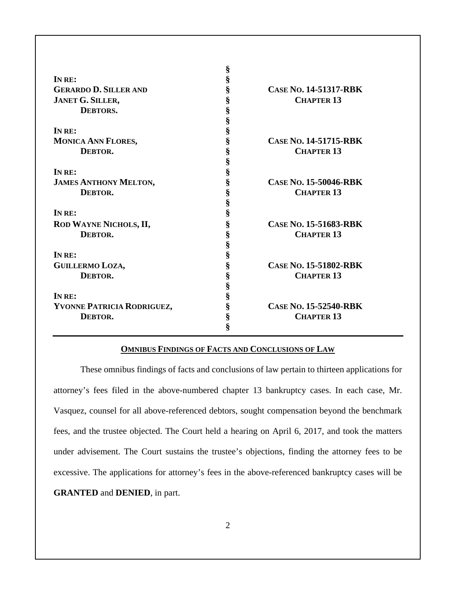| IN RE:                       | §<br>§ |                              |
|------------------------------|--------|------------------------------|
| <b>GERARDO D. SILLER AND</b> | §      | <b>CASE NO. 14-51317-RBK</b> |
| JANET G. SILLER,             | §      | <b>CHAPTER 13</b>            |
| <b>DEBTORS.</b>              | §      |                              |
|                              | §      |                              |
| IN RE:                       | §      |                              |
| MONICA ANN FLORES,           | §      | <b>CASE NO. 14-51715-RBK</b> |
| DEBTOR.                      | §      | <b>CHAPTER 13</b>            |
|                              | §      |                              |
| IN RE:                       | §      |                              |
| <b>JAMES ANTHONY MELTON,</b> | §      | <b>CASE NO. 15-50046-RBK</b> |
| DEBTOR.                      | §      | <b>CHAPTER 13</b>            |
|                              | §      |                              |
| IN RE:                       | §      |                              |
| ROD WAYNE NICHOLS, II,       | §      | CASE No. 15-51683-RBK        |
| DEBTOR.                      | §      | <b>CHAPTER 13</b>            |
|                              | §      |                              |
| IN RE:                       | §      |                              |
| GUILLERMO LOZA,              | §      | <b>CASE NO. 15-51802-RBK</b> |
| DEBTOR.                      | §      | <b>CHAPTER 13</b>            |
|                              | §      |                              |
| IN RE:                       | §      |                              |
| YVONNE PATRICIA RODRIGUEZ,   | §      | CASE No. 15-52540-RBK        |
| DEBTOR.                      | §      | <b>CHAPTER 13</b>            |
|                              | ş      |                              |

## **OMNIBUS FINDINGS OF FACTS AND CONCLUSIONS OF LAW**

These omnibus findings of facts and conclusions of law pertain to thirteen applications for attorney's fees filed in the above-numbered chapter 13 bankruptcy cases. In each case, Mr. Vasquez, counsel for all above-referenced debtors, sought compensation beyond the benchmark fees, and the trustee objected. The Court held a hearing on April 6, 2017, and took the matters under advisement. The Court sustains the trustee's objections, finding the attorney fees to be excessive. The applications for attorney's fees in the above-referenced bankruptcy cases will be **GRANTED** and **DENIED**, in part.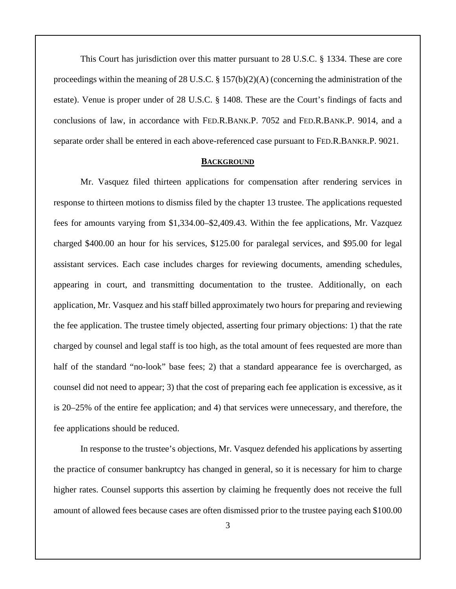This Court has jurisdiction over this matter pursuant to 28 U.S.C. § 1334. These are core proceedings within the meaning of 28 U.S.C.  $\S 157(b)(2)(A)$  (concerning the administration of the estate). Venue is proper under of 28 U.S.C. § 1408. These are the Court's findings of facts and conclusions of law, in accordance with FED.R.BANK.P. 7052 and FED.R.BANK.P. 9014, and a separate order shall be entered in each above-referenced case pursuant to FED.R.BANKR.P. 9021.

## **BACKGROUND**

Mr. Vasquez filed thirteen applications for compensation after rendering services in response to thirteen motions to dismiss filed by the chapter 13 trustee. The applications requested fees for amounts varying from \$1,334.00–\$2,409.43. Within the fee applications, Mr. Vazquez charged \$400.00 an hour for his services, \$125.00 for paralegal services, and \$95.00 for legal assistant services. Each case includes charges for reviewing documents, amending schedules, appearing in court, and transmitting documentation to the trustee. Additionally, on each application, Mr. Vasquez and his staff billed approximately two hours for preparing and reviewing the fee application. The trustee timely objected, asserting four primary objections: 1) that the rate charged by counsel and legal staff is too high, as the total amount of fees requested are more than half of the standard "no-look" base fees; 2) that a standard appearance fee is overcharged, as counsel did not need to appear; 3) that the cost of preparing each fee application is excessive, as it is 20–25% of the entire fee application; and 4) that services were unnecessary, and therefore, the fee applications should be reduced.

In response to the trustee's objections, Mr. Vasquez defended his applications by asserting the practice of consumer bankruptcy has changed in general, so it is necessary for him to charge higher rates. Counsel supports this assertion by claiming he frequently does not receive the full amount of allowed fees because cases are often dismissed prior to the trustee paying each \$100.00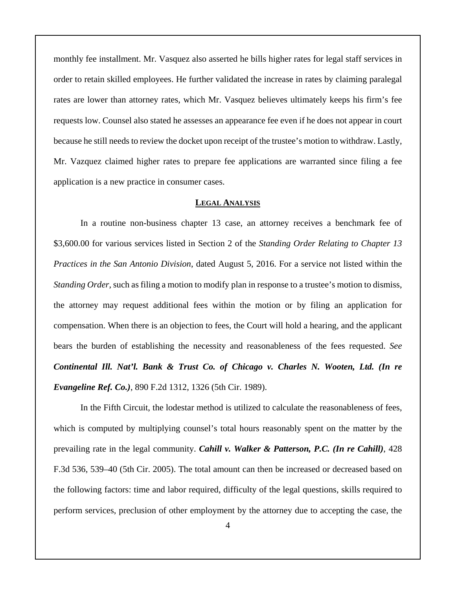monthly fee installment. Mr. Vasquez also asserted he bills higher rates for legal staff services in order to retain skilled employees. He further validated the increase in rates by claiming paralegal rates are lower than attorney rates, which Mr. Vasquez believes ultimately keeps his firm's fee requests low. Counsel also stated he assesses an appearance fee even if he does not appear in court because he still needs to review the docket upon receipt of the trustee's motion to withdraw. Lastly, Mr. Vazquez claimed higher rates to prepare fee applications are warranted since filing a fee application is a new practice in consumer cases.

## **LEGAL ANALYSIS**

In a routine non-business chapter 13 case, an attorney receives a benchmark fee of \$3,600.00 for various services listed in Section 2 of the *Standing Order Relating to Chapter 13 Practices in the San Antonio Division*, dated August 5, 2016. For a service not listed within the *Standing Order*, such as filing a motion to modify plan in response to a trustee's motion to dismiss, the attorney may request additional fees within the motion or by filing an application for compensation. When there is an objection to fees, the Court will hold a hearing, and the applicant bears the burden of establishing the necessity and reasonableness of the fees requested. *See Continental Ill. Nat'l. Bank & Trust Co. of Chicago v. Charles N. Wooten, Ltd. (In re Evangeline Ref. Co.)*, 890 F.2d 1312, 1326 (5th Cir. 1989).

In the Fifth Circuit, the lodestar method is utilized to calculate the reasonableness of fees, which is computed by multiplying counsel's total hours reasonably spent on the matter by the prevailing rate in the legal community. *Cahill v. Walker & Patterson, P.C. (In re Cahill)*, 428 F.3d 536, 539–40 (5th Cir. 2005). The total amount can then be increased or decreased based on the following factors: time and labor required, difficulty of the legal questions, skills required to perform services, preclusion of other employment by the attorney due to accepting the case, the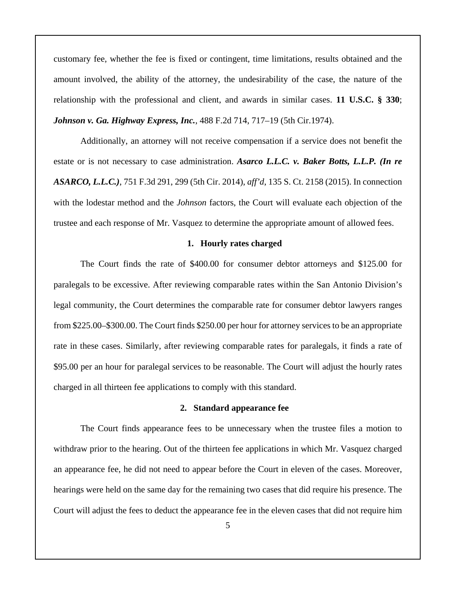customary fee, whether the fee is fixed or contingent, time limitations, results obtained and the amount involved, the ability of the attorney, the undesirability of the case, the nature of the relationship with the professional and client, and awards in similar cases. **11 U.S.C. § 330**; *Johnson v. Ga. Highway Express, Inc.*, 488 F.2d 714, 717–19 (5th Cir.1974).

Additionally, an attorney will not receive compensation if a service does not benefit the estate or is not necessary to case administration. *Asarco L.L.C. v. Baker Botts, L.L.P. (In re ASARCO, L.L.C.)*, 751 F.3d 291, 299 (5th Cir. 2014), *aff'd*, 135 S. Ct. 2158 (2015). In connection with the lodestar method and the *Johnson* factors, the Court will evaluate each objection of the trustee and each response of Mr. Vasquez to determine the appropriate amount of allowed fees.

#### **1. Hourly rates charged**

The Court finds the rate of \$400.00 for consumer debtor attorneys and \$125.00 for paralegals to be excessive. After reviewing comparable rates within the San Antonio Division's legal community, the Court determines the comparable rate for consumer debtor lawyers ranges from \$225.00–\$300.00. The Court finds \$250.00 per hour for attorney services to be an appropriate rate in these cases. Similarly, after reviewing comparable rates for paralegals, it finds a rate of \$95.00 per an hour for paralegal services to be reasonable. The Court will adjust the hourly rates charged in all thirteen fee applications to comply with this standard.

#### **2. Standard appearance fee**

The Court finds appearance fees to be unnecessary when the trustee files a motion to withdraw prior to the hearing. Out of the thirteen fee applications in which Mr. Vasquez charged an appearance fee, he did not need to appear before the Court in eleven of the cases. Moreover, hearings were held on the same day for the remaining two cases that did require his presence. The Court will adjust the fees to deduct the appearance fee in the eleven cases that did not require him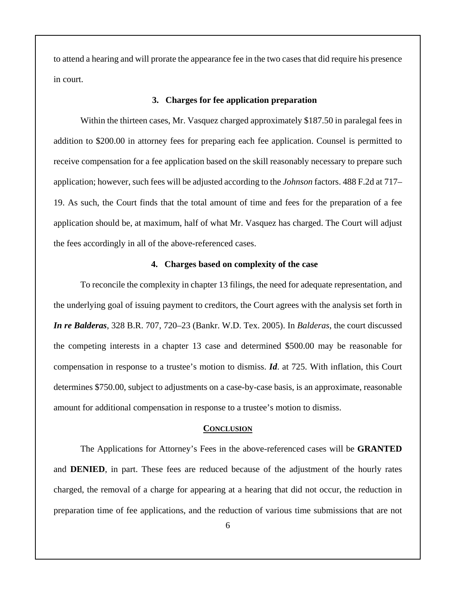to attend a hearing and will prorate the appearance fee in the two cases that did require his presence in court.

#### **3. Charges for fee application preparation**

Within the thirteen cases, Mr. Vasquez charged approximately \$187.50 in paralegal fees in addition to \$200.00 in attorney fees for preparing each fee application. Counsel is permitted to receive compensation for a fee application based on the skill reasonably necessary to prepare such application; however, such fees will be adjusted according to the *Johnson* factors. 488 F.2d at 717– 19. As such, the Court finds that the total amount of time and fees for the preparation of a fee application should be, at maximum, half of what Mr. Vasquez has charged. The Court will adjust the fees accordingly in all of the above-referenced cases.

## **4. Charges based on complexity of the case**

To reconcile the complexity in chapter 13 filings, the need for adequate representation, and the underlying goal of issuing payment to creditors, the Court agrees with the analysis set forth in *In re Balderas*, 328 B.R. 707, 720–23 (Bankr. W.D. Tex. 2005). In *Balderas*, the court discussed the competing interests in a chapter 13 case and determined \$500.00 may be reasonable for compensation in response to a trustee's motion to dismiss. *Id*. at 725. With inflation, this Court determines \$750.00, subject to adjustments on a case-by-case basis, is an approximate, reasonable amount for additional compensation in response to a trustee's motion to dismiss.

#### **CONCLUSION**

The Applications for Attorney's Fees in the above-referenced cases will be **GRANTED** and **DENIED**, in part. These fees are reduced because of the adjustment of the hourly rates charged, the removal of a charge for appearing at a hearing that did not occur, the reduction in preparation time of fee applications, and the reduction of various time submissions that are not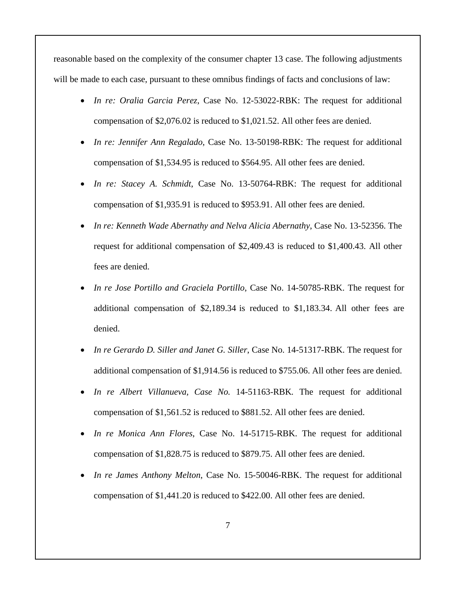reasonable based on the complexity of the consumer chapter 13 case. The following adjustments will be made to each case, pursuant to these omnibus findings of facts and conclusions of law:

- *In re: Oralia Garcia Perez*, Case No. 12-53022-RBK: The request for additional compensation of \$2,076.02 is reduced to \$1,021.52. All other fees are denied.
- *In re: Jennifer Ann Regalado*, Case No. 13-50198-RBK: The request for additional compensation of \$1,534.95 is reduced to \$564.95. All other fees are denied.
- In re: Stacey A. Schmidt, Case No. 13-50764-RBK: The request for additional compensation of \$1,935.91 is reduced to \$953.91. All other fees are denied.
- *In re: Kenneth Wade Abernathy and Nelva Alicia Abernathy*, Case No. 13-52356. The request for additional compensation of \$2,409.43 is reduced to \$1,400.43. All other fees are denied.
- *In re Jose Portillo and Graciela Portillo*, Case No. 14-50785-RBK. The request for additional compensation of \$2,189.34 is reduced to \$1,183.34. All other fees are denied.
- *In re Gerardo D. Siller and Janet G. Siller*, Case No. 14-51317-RBK. The request for additional compensation of \$1,914.56 is reduced to \$755.06. All other fees are denied.
- *In re Albert Villanueva, Case No.* 14-51163-RBK*.* The request for additional compensation of \$1,561.52 is reduced to \$881.52. All other fees are denied.
- *In re Monica Ann Flores*, Case No. 14-51715-RBK. The request for additional compensation of \$1,828.75 is reduced to \$879.75. All other fees are denied.
- *In re James Anthony Melton*, Case No. 15-50046-RBK. The request for additional compensation of \$1,441.20 is reduced to \$422.00. All other fees are denied.